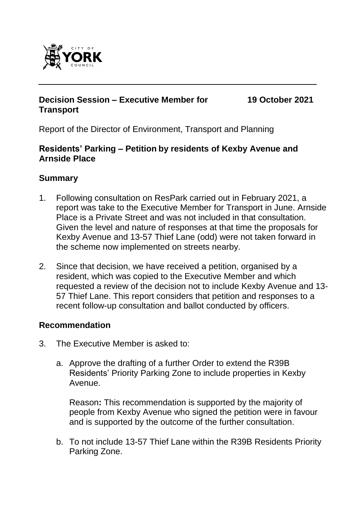

#### **Decision Session – Executive Member for Transport**

**19 October 2021**

Report of the Director of Environment, Transport and Planning

#### **Residents' Parking – Petition by residents of Kexby Avenue and Arnside Place**

## **Summary**

- 1. Following consultation on ResPark carried out in February 2021, a report was take to the Executive Member for Transport in June. Arnside Place is a Private Street and was not included in that consultation. Given the level and nature of responses at that time the proposals for Kexby Avenue and 13-57 Thief Lane (odd) were not taken forward in the scheme now implemented on streets nearby.
- 2. Since that decision, we have received a petition, organised by a resident, which was copied to the Executive Member and which requested a review of the decision not to include Kexby Avenue and 13- 57 Thief Lane. This report considers that petition and responses to a recent follow-up consultation and ballot conducted by officers.

### **Recommendation**

- 3. The Executive Member is asked to:
	- a. Approve the drafting of a further Order to extend the R39B Residents' Priority Parking Zone to include properties in Kexby Avenue.

Reason**:** This recommendation is supported by the majority of people from Kexby Avenue who signed the petition were in favour and is supported by the outcome of the further consultation.

b. To not include 13-57 Thief Lane within the R39B Residents Priority Parking Zone.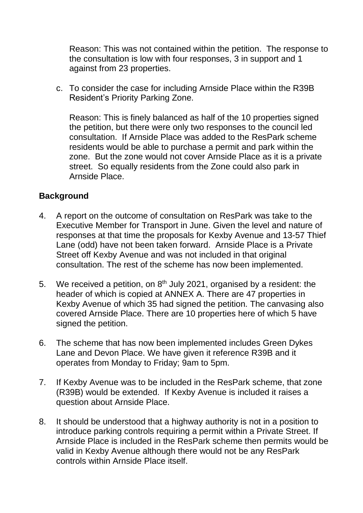Reason: This was not contained within the petition. The response to the consultation is low with four responses, 3 in support and 1 against from 23 properties.

c. To consider the case for including Arnside Place within the R39B Resident's Priority Parking Zone.

Reason: This is finely balanced as half of the 10 properties signed the petition, but there were only two responses to the council led consultation. If Arnside Place was added to the ResPark scheme residents would be able to purchase a permit and park within the zone. But the zone would not cover Arnside Place as it is a private street. So equally residents from the Zone could also park in Arnside Place.

#### **Background**

- 4. A report on the outcome of consultation on ResPark was take to the Executive Member for Transport in June. Given the level and nature of responses at that time the proposals for Kexby Avenue and 13-57 Thief Lane (odd) have not been taken forward. Arnside Place is a Private Street off Kexby Avenue and was not included in that original consultation. The rest of the scheme has now been implemented.
- 5. We received a petition, on  $8<sup>th</sup>$  July 2021, organised by a resident: the header of which is copied at ANNEX A. There are 47 properties in Kexby Avenue of which 35 had signed the petition. The canvasing also covered Arnside Place. There are 10 properties here of which 5 have signed the petition.
- 6. The scheme that has now been implemented includes Green Dykes Lane and Devon Place. We have given it reference R39B and it operates from Monday to Friday; 9am to 5pm.
- 7. If Kexby Avenue was to be included in the ResPark scheme, that zone (R39B) would be extended. If Kexby Avenue is included it raises a question about Arnside Place.
- 8. It should be understood that a highway authority is not in a position to introduce parking controls requiring a permit within a Private Street. If Arnside Place is included in the ResPark scheme then permits would be valid in Kexby Avenue although there would not be any ResPark controls within Arnside Place itself.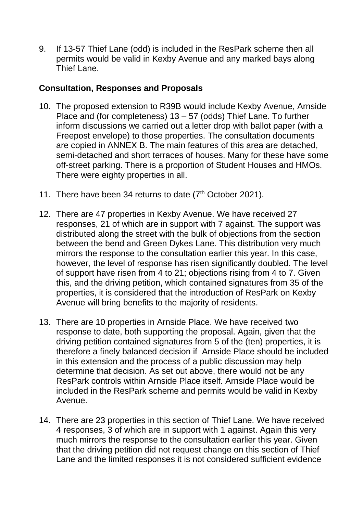9. If 13-57 Thief Lane (odd) is included in the ResPark scheme then all permits would be valid in Kexby Avenue and any marked bays along Thief Lane.

### **Consultation, Responses and Proposals**

- 10. The proposed extension to R39B would include Kexby Avenue, Arnside Place and (for completeness) 13 – 57 (odds) Thief Lane. To further inform discussions we carried out a letter drop with ballot paper (with a Freepost envelope) to those properties. The consultation documents are copied in ANNEX B. The main features of this area are detached, semi-detached and short terraces of houses. Many for these have some off-street parking. There is a proportion of Student Houses and HMOs. There were eighty properties in all.
- 11. There have been 34 returns to date  $(7<sup>th</sup> October 2021)$ .
- 12. There are 47 properties in Kexby Avenue. We have received 27 responses, 21 of which are in support with 7 against. The support was distributed along the street with the bulk of objections from the section between the bend and Green Dykes Lane. This distribution very much mirrors the response to the consultation earlier this year. In this case, however, the level of response has risen significantly doubled. The level of support have risen from 4 to 21; objections rising from 4 to 7. Given this, and the driving petition, which contained signatures from 35 of the properties, it is considered that the introduction of ResPark on Kexby Avenue will bring benefits to the majority of residents.
- 13. There are 10 properties in Arnside Place. We have received two response to date, both supporting the proposal. Again, given that the driving petition contained signatures from 5 of the (ten) properties, it is therefore a finely balanced decision if Arnside Place should be included in this extension and the process of a public discussion may help determine that decision. As set out above, there would not be any ResPark controls within Arnside Place itself. Arnside Place would be included in the ResPark scheme and permits would be valid in Kexby Avenue.
- 14. There are 23 properties in this section of Thief Lane. We have received 4 responses, 3 of which are in support with 1 against. Again this very much mirrors the response to the consultation earlier this year. Given that the driving petition did not request change on this section of Thief Lane and the limited responses it is not considered sufficient evidence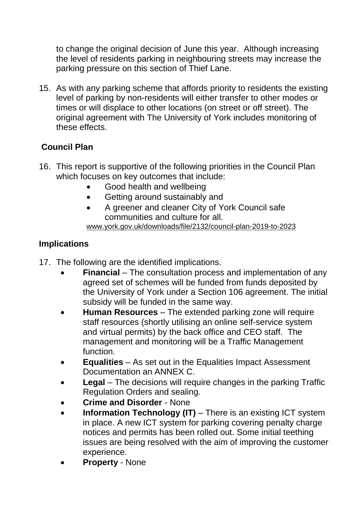to change the original decision of June this year. Although increasing the level of residents parking in neighbouring streets may increase the parking pressure on this section of Thief Lane.

15. As with any parking scheme that affords priority to residents the existing level of parking by non-residents will either transfer to other modes or times or will displace to other locations (on street or off street). The original agreement with The University of York includes monitoring of these effects.

# **Council Plan**

- 16. This report is supportive of the following priorities in the Council Plan which focuses on key outcomes that include:
	- Good health and wellbeing
	- Getting around sustainably and
	- A greener and cleaner City of York Council safe communities and culture for all. [www.york.gov.uk/downloads/file/2132/council-plan-2019-to-2023](http://www.york.gov.uk/downloads/file/2132/council-plan-2019-to-2023)

# **Implications**

- 17. The following are the identified implications.
	- **Financial** The consultation process and implementation of any agreed set of schemes will be funded from funds deposited by the University of York under a Section 106 agreement. The initial subsidy will be funded in the same way.
	- **Human Resources** The extended parking zone will require staff resources (shortly utilising an online self-service system and virtual permits) by the back office and CEO staff. The management and monitoring will be a Traffic Management function.
	- **Equalities** As set out in the Equalities Impact Assessment Documentation an ANNEX C.
	- **Legal** The decisions will require changes in the parking Traffic Regulation Orders and sealing.
	- **Crime and Disorder** None
	- **Information Technology (IT)** There is an existing ICT system in place. A new ICT system for parking covering penalty charge notices and permits has been rolled out. Some initial teething issues are being resolved with the aim of improving the customer experience.
	- **Property** None